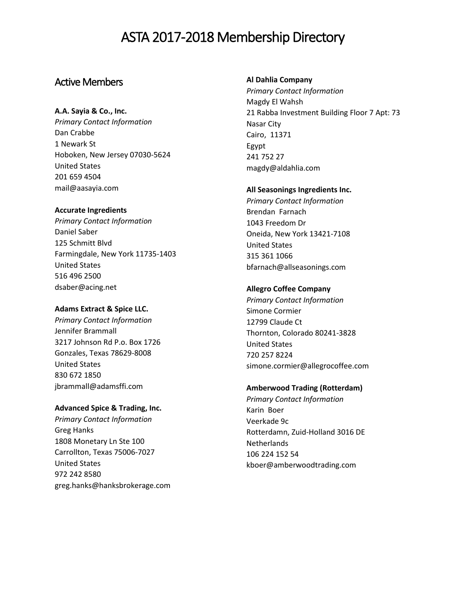# Active Members

# **A.A. Sayia & Co., Inc.**

*Primary Contact Information* Dan Crabbe 1 Newark St Hoboken, New Jersey 07030-5624 United States 201 659 4504 mail@aasayia.com

### **Accurate Ingredients**

*Primary Contact Information* Daniel Saber 125 Schmitt Blvd Farmingdale, New York 11735-1403 United States 516 496 2500 dsaber@acing.net

### **Adams Extract & Spice LLC.**

*Primary Contact Information* Jennifer Brammall 3217 Johnson Rd P.o. Box 1726 Gonzales, Texas 78629-8008 United States 830 672 1850 jbrammall@adamsffi.com

# **Advanced Spice & Trading, Inc.**

*Primary Contact Information* Greg Hanks 1808 Monetary Ln Ste 100 Carrollton, Texas 75006-7027 United States 972 242 8580 greg.hanks@hanksbrokerage.com

# **Al Dahlia Company**

*Primary Contact Information* Magdy El Wahsh 21 Rabba Investment Building Floor 7 Apt: 73 Nasar City Cairo, 11371 Egypt 241 752 27 magdy@aldahlia.com

#### **All Seasonings Ingredients Inc.**

*Primary Contact Information* Brendan Farnach 1043 Freedom Dr Oneida, New York 13421-7108 United States 315 361 1066 bfarnach@allseasonings.com

# **Allegro Coffee Company**

*Primary Contact Information* Simone Cormier 12799 Claude Ct Thornton, Colorado 80241-3828 United States 720 257 8224 simone.cormier@allegrocoffee.com

# **Amberwood Trading (Rotterdam)**

*Primary Contact Information* Karin Boer Veerkade 9c Rotterdamn, Zuid-Holland 3016 DE **Netherlands** 106 224 152 54 kboer@amberwoodtrading.com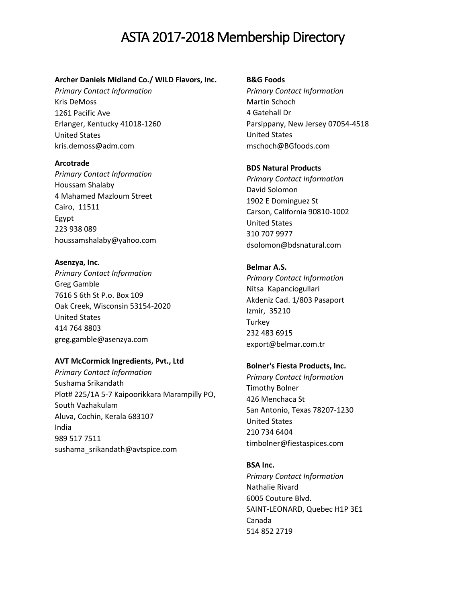#### **Archer Daniels Midland Co./ WILD Flavors, Inc.**

*Primary Contact Information* Kris DeMoss 1261 Pacific Ave Erlanger, Kentucky 41018-1260 United States kris.demoss@adm.com

#### **Arcotrade**

*Primary Contact Information* Houssam Shalaby 4 Mahamed Mazloum Street Cairo, 11511 Egypt 223 938 089 houssamshalaby@yahoo.com

#### **Asenzya, Inc.**

*Primary Contact Information* Greg Gamble 7616 S 6th St P.o. Box 109 Oak Creek, Wisconsin 53154-2020 United States 414 764 8803 greg.gamble@asenzya.com

# **AVT McCormick Ingredients, Pvt., Ltd**

*Primary Contact Information* Sushama Srikandath Plot# 225/1A 5-7 Kaipoorikkara Marampilly PO, South Vazhakulam Aluva, Cochin, Kerala 683107 India 989 517 7511 sushama\_srikandath@avtspice.com

#### **B&G Foods**

*Primary Contact Information* Martin Schoch 4 Gatehall Dr Parsippany, New Jersey 07054-4518 United States mschoch@BGfoods.com

# **BDS Natural Products**

*Primary Contact Information* David Solomon 1902 E Dominguez St Carson, California 90810-1002 United States 310 707 9977 dsolomon@bdsnatural.com

### **Belmar A.S.**

*Primary Contact Information* Nitsa Kapanciogullari Akdeniz Cad. 1/803 Pasaport Izmir, 35210 Turkey 232 483 6915 export@belmar.com.tr

#### **Bolner's Fiesta Products, Inc.**

*Primary Contact Information* Timothy Bolner 426 Menchaca St San Antonio, Texas 78207-1230 United States 210 734 6404 timbolner@fiestaspices.com

#### **BSA Inc.**

*Primary Contact Information* Nathalie Rivard 6005 Couture Blvd. SAINT-LEONARD, Quebec H1P 3E1 Canada 514 852 2719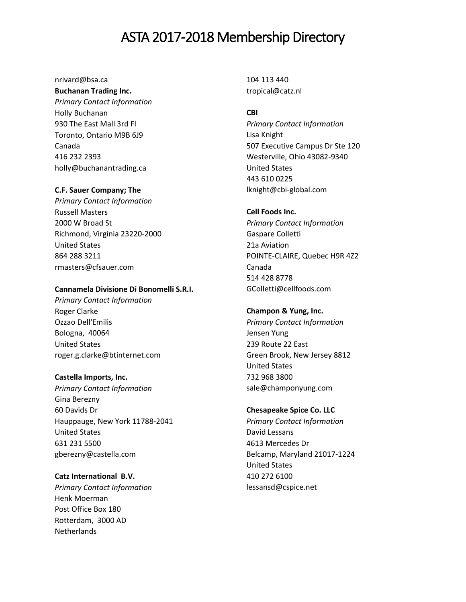# nrivard@bsa.ca

# **Buchanan Trading Inc.**

*Primary Contact Information* Holly Buchanan 930 The East Mall 3rd Fl Toronto, Ontario M9B 6J9 Canada 416 232 2393 holly@buchanantrading.ca

# **C.F. Sauer Company; The**

*Primary Contact Information* Russell Masters 2000 W Broad St Richmond, Virginia 23220-2000 United States 864 288 3211 rmasters@cfsauer.com

### **Cannamela Divisione Di Bonomelli S.R.I.**

*Primary Contact Information* Roger Clarke Ozzao Dell'Emilis Bologna, 40064 United States roger.g.clarke@btinternet.com

#### **Castella Imports, Inc.**

*Primary Contact Information* Gina Berezny 60 Davids Dr Hauppauge, New York 11788-2041 United States 631 231 5500 gberezny@castella.com

# **Catz International B.V.**

*Primary Contact Information* Henk Moerman Post Office Box 180 Rotterdam, 3000 AD **Netherlands** 

104 113 440 tropical@catz.nl

# **CBI**

*Primary Contact Information* Lisa Knight 507 Executive Campus Dr Ste 120 Westerville, Ohio 43082-9340 United States 443 610 0225 lknight@cbi-global.com

# **Cell Foods Inc.**

*Primary Contact Information* Gaspare Colletti 21a Aviation POINTE-CLAIRE, Quebec H9R 4Z2 Canada 514 428 8778 GColletti@cellfoods.com

#### **Champon & Yung, Inc.**

*Primary Contact Information* Jensen Yung 239 Route 22 East Green Brook, New Jersey 8812 United States 732 968 3800 sale@champonyung.com

### **Chesapeake Spice Co. LLC**

*Primary Contact Information* David Lessans 4613 Mercedes Dr Belcamp, Maryland 21017-1224 United States 410 272 6100 lessansd@cspice.net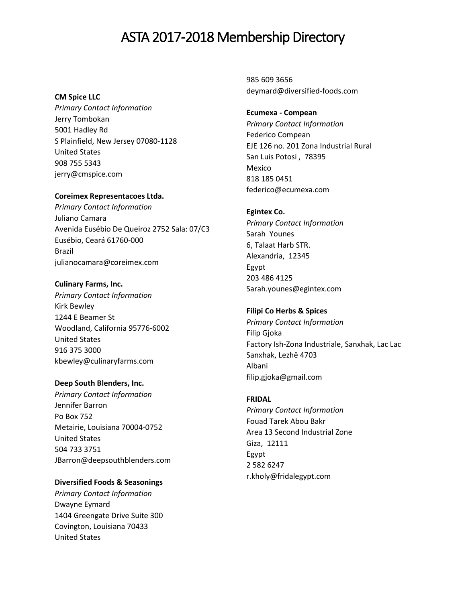# **CM Spice LLC**

*Primary Contact Information* Jerry Tombokan 5001 Hadley Rd S Plainfield, New Jersey 07080-1128 United States 908 755 5343 jerry@cmspice.com

# **Coreimex Representacoes Ltda.**

*Primary Contact Information* Juliano Camara Avenida Eusébio De Queiroz 2752 Sala: 07/C3 Eusébio, Ceará 61760-000 Brazil julianocamara@coreimex.com

# **Culinary Farms, Inc.**

*Primary Contact Information* Kirk Bewley 1244 E Beamer St Woodland, California 95776-6002 United States 916 375 3000 kbewley@culinaryfarms.com

# **Deep South Blenders, Inc.**

*Primary Contact Information* Jennifer Barron Po Box 752 Metairie, Louisiana 70004-0752 United States 504 733 3751 JBarron@deepsouthblenders.com

# **Diversified Foods & Seasonings**

*Primary Contact Information* Dwayne Eymard 1404 Greengate Drive Suite 300 Covington, Louisiana 70433 United States

985 609 3656 deymard@diversified-foods.com

# **Ecumexa - Compean**

*Primary Contact Information* Federico Compean EJE 126 no. 201 Zona Industrial Rural San Luis Potosi , 78395 Mexico 818 185 0451 federico@ecumexa.com

# **Egintex Co.**

*Primary Contact Information* Sarah Younes 6, Talaat Harb STR. Alexandria, 12345 Egypt 203 486 4125 Sarah.younes@egintex.com

# **Filipi Co Herbs & Spices**

*Primary Contact Information* Filip Gjoka Factory Ish-Zona Industriale, Sanxhak, Lac Lac Sanxhak, Lezhë 4703 Albani filip.gjoka@gmail.com

# **FRIDAL**

*Primary Contact Information* Fouad Tarek Abou Bakr Area 13 Second Industrial Zone Giza, 12111 Egypt 2 582 6247 r.kholy@fridalegypt.com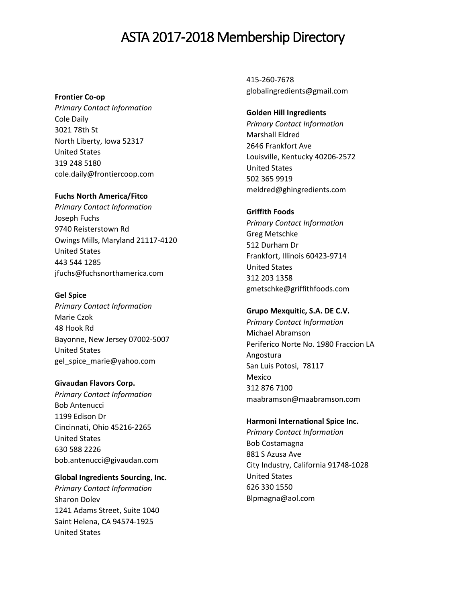#### **Frontier Co-op**

*Primary Contact Information* Cole Daily 3021 78th St North Liberty, Iowa 52317 United States 319 248 5180 cole.daily@frontiercoop.com

#### **Fuchs North America/Fitco**

*Primary Contact Information* Joseph Fuchs 9740 Reisterstown Rd Owings Mills, Maryland 21117-4120 United States 443 544 1285 jfuchs@fuchsnorthamerica.com

#### **Gel Spice**

*Primary Contact Information* Marie Czok 48 Hook Rd Bayonne, New Jersey 07002-5007 United States gel\_spice\_marie@yahoo.com

#### **Givaudan Flavors Corp.**

*Primary Contact Information* Bob Antenucci 1199 Edison Dr Cincinnati, Ohio 45216-2265 United States 630 588 2226 [bob.antenucci@givaudan.com](mailto:bob.antenucci@givaudan.com)

# **Global Ingredients Sourcing, Inc.**

*Primary Contact Information* Sharon Dolev 1241 Adams Street, Suite 1040 Saint Helena, CA 94574-1925 United States

415-260-7678 globalingredients@gmail.com

# **Golden Hill Ingredients**

*Primary Contact Information* Marshall Eldred 2646 Frankfort Ave Louisville, Kentucky 40206-2572 United States 502 365 9919 meldred@ghingredients.com

#### **Griffith Foods**

*Primary Contact Information* Greg Metschke 512 Durham Dr Frankfort, Illinois 60423-9714 United States 312 203 1358 gmetschke@griffithfoods.com

#### **Grupo Mexquitic, S.A. DE C.V.**

*Primary Contact Information* Michael Abramson Periferico Norte No. 1980 Fraccion LA Angostura San Luis Potosi, 78117 Mexico 312 876 7100 maabramson@maabramson.com

#### **Harmoni International Spice Inc.**

*Primary Contact Information* Bob Costamagna 881 S Azusa Ave City Industry, California 91748-1028 United States 626 330 1550 Blpmagna@aol.com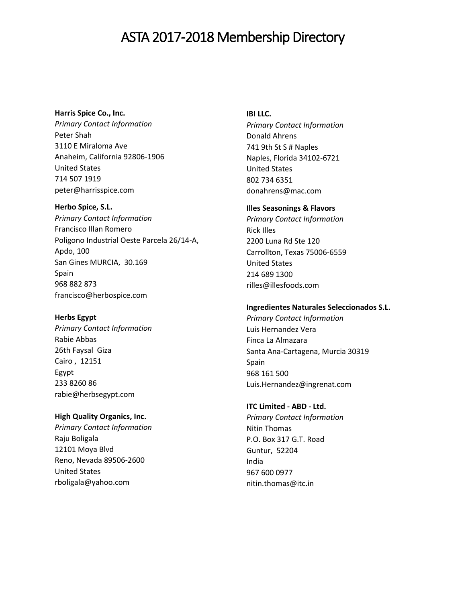# **Harris Spice Co., Inc.**

*Primary Contact Information* Peter Shah 3110 E Miraloma Ave Anaheim, California 92806-1906 United States 714 507 1919 peter@harrisspice.com

# **Herbo Spice, S.L.**

*Primary Contact Information* Francisco Illan Romero Poligono Industrial Oeste Parcela 26/14-A, Apdo, 100 San Gines MURCIA, 30.169 Spain 968 882 873 francisco@herbospice.com

# **Herbs Egypt**

*Primary Contact Information* Rabie Abbas 26th Faysal Giza Cairo , 12151 Egypt 233 8260 86 rabie@herbsegypt.com

# **High Quality Organics, Inc.**

*Primary Contact Information* Raju Boligala 12101 Moya Blvd Reno, Nevada 89506-2600 United States rboligala@yahoo.com

#### **IBI LLC.**

*Primary Contact Information* Donald Ahrens 741 9th St S # Naples Naples, Florida 34102-6721 United States 802 734 6351 donahrens@mac.com

# **Illes Seasonings & Flavors**

*Primary Contact Information* Rick Illes 2200 Luna Rd Ste 120 Carrollton, Texas 75006-6559 United States 214 689 1300 rilles@illesfoods.com

# **Ingredientes Naturales Seleccionados S.L.**

*Primary Contact Information* Luis Hernandez Vera Finca La Almazara Santa Ana-Cartagena, Murcia 30319 Spain 968 161 500 Luis.Hernandez@ingrenat.com

# **ITC Limited - ABD - Ltd.**

*Primary Contact Information* Nitin Thomas P.O. Box 317 G.T. Road Guntur, 52204 India 967 600 0977 nitin.thomas@itc.in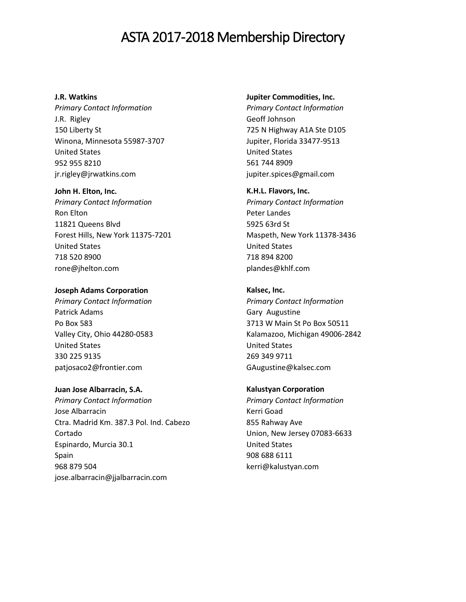#### **J.R. Watkins**

*Primary Contact Information* J.R. Rigley 150 Liberty St Winona, Minnesota 55987-3707 United States 952 955 8210 jr.rigley@jrwatkins.com

#### **John H. Elton, Inc.**

*Primary Contact Information* Ron Elton 11821 Queens Blvd Forest Hills, New York 11375-7201 United States 718 520 8900 rone@jhelton.com

# **Joseph Adams Corporation**

*Primary Contact Information* Patrick Adams Po Box 583 Valley City, Ohio 44280-0583 United States 330 225 9135 patjosaco2@frontier.com

# **Juan Jose Albarracin, S.A.**

*Primary Contact Information* Jose Albarracin Ctra. Madrid Km. 387.3 Pol. Ind. Cabezo Cortado Espinardo, Murcia 30.1 Spain 968 879 504 jose.albarracin@jjalbarracin.com

#### **Jupiter Commodities, Inc.**

*Primary Contact Information* Geoff Johnson 725 N Highway A1A Ste D105 Jupiter, Florida 33477-9513 United States 561 744 8909 jupiter.spices@gmail.com

#### **K.H.L. Flavors, Inc.**

*Primary Contact Information* Peter Landes 5925 63rd St Maspeth, New York 11378-3436 United States 718 894 8200 plandes@khlf.com

# **Kalsec, Inc.**

*Primary Contact Information* Gary Augustine 3713 W Main St Po Box 50511 Kalamazoo, Michigan 49006-2842 United States 269 349 9711 GAugustine@kalsec.com

#### **Kalustyan Corporation**

*Primary Contact Information* Kerri Goad 855 Rahway Ave Union, New Jersey 07083-6633 United States 908 688 6111 kerri@kalustyan.com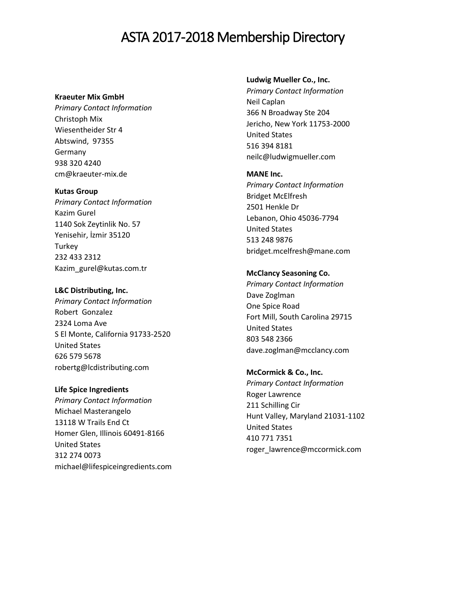#### **Kraeuter Mix GmbH**

*Primary Contact Information* Christoph Mix Wiesentheider Str 4 Abtswind, 97355 Germany 938 320 4240 cm@kraeuter-mix.de

#### **Kutas Group**

*Primary Contact Information* Kazim Gurel 1140 Sok Zeytinlik No. 57 Yenisehir, İzmir 35120 **Turkey** 232 433 2312 Kazim\_gurel@kutas.com.tr

#### **L&C Distributing, Inc.**

*Primary Contact Information* Robert Gonzalez 2324 Loma Ave S El Monte, California 91733-2520 United States 626 579 5678 robertg@lcdistributing.com

**Life Spice Ingredients**  *Primary Contact Information* Michael Masterangelo 13118 W Trails End Ct Homer Glen, Illinois 60491-8166 United States 312 274 0073 michael@lifespiceingredients.com

#### **Ludwig Mueller Co., Inc.**

*Primary Contact Information* Neil Caplan 366 N Broadway Ste 204 Jericho, New York 11753-2000 United States 516 394 8181 neilc@ludwigmueller.com

#### **MANE Inc.**

*Primary Contact Information* Bridget McElfresh 2501 Henkle Dr Lebanon, Ohio 45036-7794 United States 513 248 9876 bridget.mcelfresh@mane.com

# **McClancy Seasoning Co.**

*Primary Contact Information* Dave Zoglman One Spice Road Fort Mill, South Carolina 29715 United States 803 548 2366 dave.zoglman@mcclancy.com

**McCormick & Co., Inc.** *Primary Contact Information* Roger Lawrence 211 Schilling Cir Hunt Valley, Maryland 21031-1102 United States 410 771 7351 roger\_lawrence@mccormick.com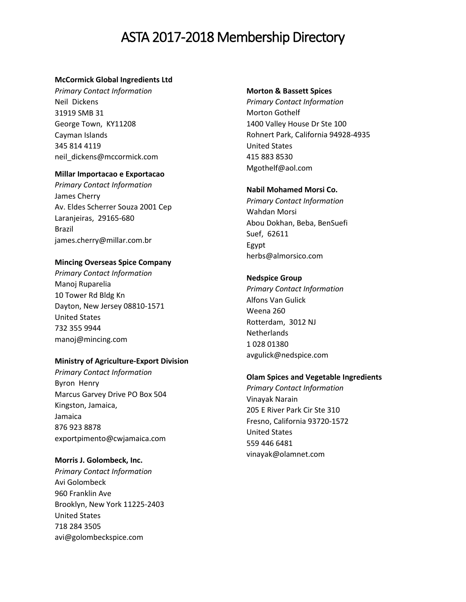### **McCormick Global Ingredients Ltd**

*Primary Contact Information* Neil Dickens 31919 SMB 31 George Town, KY11208 Cayman Islands 345 814 4119 neil\_dickens@mccormick.com

#### **Millar Importacao e Exportacao**

*Primary Contact Information* James Cherry Av. Eldes Scherrer Souza 2001 Cep Laranjeiras, 29165-680 Brazil james.cherry@millar.com.br

# **Mincing Overseas Spice Company**

*Primary Contact Information* Manoj Ruparelia 10 Tower Rd Bldg Kn Dayton, New Jersey 08810-1571 United States 732 355 9944 manoj@mincing.com

# **Ministry of Agriculture-Export Division**

*Primary Contact Information* Byron Henry Marcus Garvey Drive PO Box 504 Kingston, Jamaica, Jamaica 876 923 8878 exportpimento@cwjamaica.com

#### **Morris J. Golombeck, Inc.**

*Primary Contact Information* Avi Golombeck 960 Franklin Ave Brooklyn, New York 11225-2403 United States 718 284 3505 avi@golombeckspice.com

#### **Morton & Bassett Spices**

*Primary Contact Information* Morton Gothelf 1400 Valley House Dr Ste 100 Rohnert Park, California 94928-4935 United States 415 883 8530 Mgothelf@aol.com

#### **Nabil Mohamed Morsi Co.**

*Primary Contact Information* Wahdan Morsi Abou Dokhan, Beba, BenSuefi Suef, 62611 Egypt herbs@almorsico.com

# **Nedspice Group**

*Primary Contact Information* Alfons Van Gulick Weena 260 Rotterdam, 3012 NJ Netherlands 1 028 01380 avgulick@nedspice.com

#### **Olam Spices and Vegetable Ingredients**

*Primary Contact Information* Vinayak Narain 205 E River Park Cir Ste 310 Fresno, California 93720-1572 United States 559 446 6481 vinayak@olamnet.com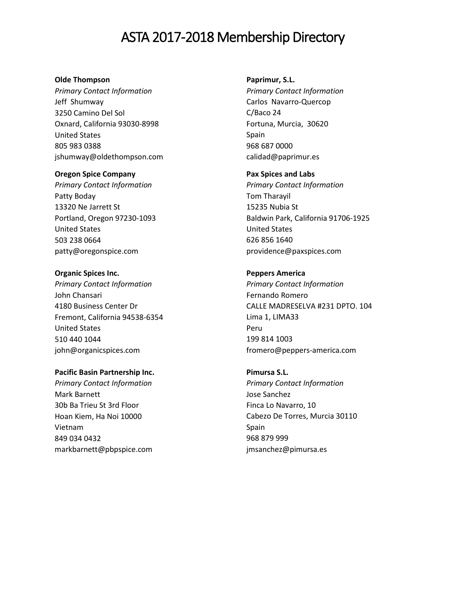#### **Olde Thompson**

*Primary Contact Information* Jeff Shumway 3250 Camino Del Sol Oxnard, California 93030-8998 United States 805 983 0388 jshumway@oldethompson.com

#### **Oregon Spice Company**

*Primary Contact Information* Patty Boday 13320 Ne Jarrett St Portland, Oregon 97230-1093 United States 503 238 0664 patty@oregonspice.com

# **Organic Spices Inc.**

*Primary Contact Information* John Chansari 4180 Business Center Dr Fremont, California 94538-6354 United States 510 440 1044 john@organicspices.com

### **Pacific Basin Partnership Inc.**

*Primary Contact Information* Mark Barnett 30b Ba Trieu St 3rd Floor Hoan Kiem, Ha Noi 10000 Vietnam 849 034 0432 markbarnett@pbpspice.com

#### **Paprimur, S.L.**

*Primary Contact Information* Carlos Navarro-Quercop C/Baco 24 Fortuna, Murcia, 30620 Spain 968 687 0000 calidad@paprimur.es

#### **Pax Spices and Labs**

*Primary Contact Information* Tom Tharayil 15235 Nubia St Baldwin Park, California 91706-1925 United States 626 856 1640 providence@paxspices.com

# **Peppers America**

*Primary Contact Information* Fernando Romero CALLE MADRESELVA #231 DPTO. 104 Lima 1, LIMA33 Peru 199 814 1003 fromero@peppers-america.com

# **Pimursa S.L.**

*Primary Contact Information* Jose Sanchez Finca Lo Navarro, 10 Cabezo De Torres, Murcia 30110 Spain 968 879 999 jmsanchez@pimursa.es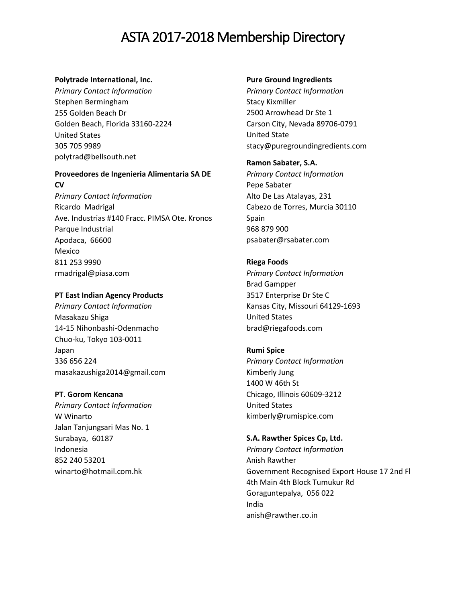### **Polytrade International, Inc.**

*Primary Contact Information* Stephen Bermingham 255 Golden Beach Dr Golden Beach, Florida 33160-2224 United States 305 705 9989 polytrad@bellsouth.net

# **Proveedores de Ingenieria Alimentaria SA DE CV**

*Primary Contact Information* Ricardo Madrigal Ave. Industrias #140 Fracc. PIMSA Ote. Kronos Parque Industrial Apodaca, 66600 Mexico 811 253 9990 rmadrigal@piasa.com

# **PT East Indian Agency Products**

*Primary Contact Information* Masakazu Shiga 14-15 Nihonbashi-Odenmacho Chuo-ku, Tokyo 103-0011 Japan 336 656 224 masakazushiga2014@gmail.com

#### **PT. Gorom Kencana**

*Primary Contact Information* W Winarto Jalan Tanjungsari Mas No. 1 Surabaya, 60187 Indonesia 852 240 53201 winarto@hotmail.com.hk

#### **Pure Ground Ingredients**

*Primary Contact Information* Stacy Kixmiller 2500 Arrowhead Dr Ste 1 Carson City, Nevada 89706-0791 United State stacy@puregroundingredients.com

# **Ramon Sabater, S.A.**

*Primary Contact Information* Pepe Sabater Alto De Las Atalayas, 231 Cabezo de Torres, Murcia 30110 Spain 968 879 900 psabater@rsabater.com

# **Riega Foods**

*Primary Contact Information* Brad Gampper 3517 Enterprise Dr Ste C Kansas City, Missouri 64129-1693 United States brad@riegafoods.com

#### **Rumi Spice**

*Primary Contact Information* Kimberly Jung 1400 W 46th St Chicago, Illinois 60609-3212 United States kimberly@rumispice.com

### **S.A. Rawther Spices Cp, Ltd.**

*Primary Contact Information* Anish Rawther Government Recognised Export House 17 2nd Fl 4th Main 4th Block Tumukur Rd Goraguntepalya, 056 022 India anish@rawther.co.in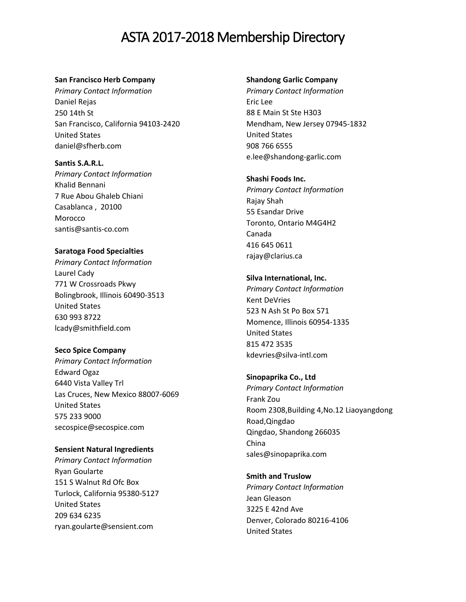#### **San Francisco Herb Company**

*Primary Contact Information* Daniel Rejas 250 14th St San Francisco, California 94103-2420 United States daniel@sfherb.com

**Santis S.A.R.L.** *Primary Contact Information* Khalid Bennani 7 Rue Abou Ghaleb Chiani Casablanca , 20100 Morocco santis@santis-co.com

# **Saratoga Food Specialties**

*Primary Contact Information* Laurel Cady 771 W Crossroads Pkwy Bolingbrook, Illinois 60490-3513 United States 630 993 8722 lcady@smithfield.com

#### **Seco Spice Company**

*Primary Contact Information* Edward Ogaz 6440 Vista Valley Trl Las Cruces, New Mexico 88007-6069 United States 575 233 9000 secospice@secospice.com

#### **Sensient Natural Ingredients**

*Primary Contact Information* Ryan Goularte 151 S Walnut Rd Ofc Box Turlock, California 95380-5127 United States 209 634 6235 ryan.goularte@sensient.com

#### **Shandong Garlic Company**

*Primary Contact Information* Eric Lee 88 E Main St Ste H303 Mendham, New Jersey 07945-1832 United States 908 766 6555 e.lee@shandong-garlic.com

#### **Shashi Foods Inc.**

*Primary Contact Information* Rajay Shah 55 Esandar Drive Toronto, Ontario M4G4H2 Canada 416 645 0611 rajay@clarius.ca

#### **Silva International, Inc.**

*Primary Contact Information* Kent DeVries 523 N Ash St Po Box 571 Momence, Illinois 60954-1335 United States 815 472 3535 kdevries@silva-intl.com

#### **Sinopaprika Co., Ltd**

*Primary Contact Information* Frank Zou Room 2308,Building 4,No.12 Liaoyangdong Road,Qingdao Qingdao, Shandong 266035 China sales@sinopaprika.com

**Smith and Truslow** *Primary Contact Information* Jean Gleason 3225 E 42nd Ave Denver, Colorado 80216-4106 United States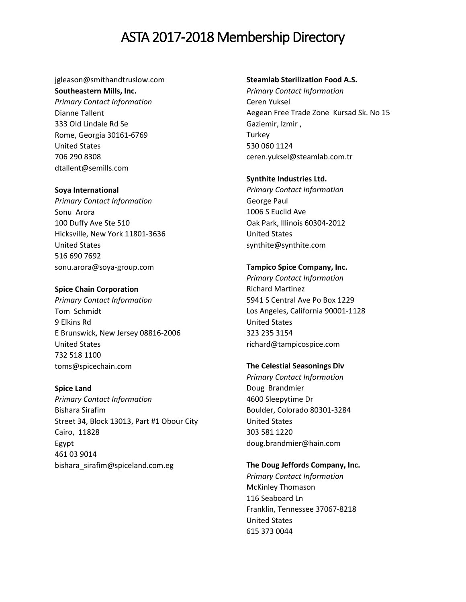jgleason@smithandtruslow.com **Southeastern Mills, Inc.** *Primary Contact Information* Dianne Tallent 333 Old Lindale Rd Se Rome, Georgia 30161-6769 United States 706 290 8308 dtallent@semills.com

#### **Soya International**

*Primary Contact Information* Sonu Arora 100 Duffy Ave Ste 510 Hicksville, New York 11801-3636 United States 516 690 7692 sonu.arora@soya-group.com

# **Spice Chain Corporation**

*Primary Contact Information* Tom Schmidt 9 Elkins Rd E Brunswick, New Jersey 08816-2006 United States 732 518 1100 toms@spicechain.com

#### **Spice Land**

*Primary Contact Information* Bishara Sirafim Street 34, Block 13013, Part #1 Obour City Cairo, 11828 Egypt 461 03 9014 bishara\_sirafim@spiceland.com.eg

#### **Steamlab Sterilization Food A.S.**

*Primary Contact Information* Ceren Yuksel Aegean Free Trade Zone Kursad Sk. No 15 Gaziemir, Izmir , **Turkey** 530 060 1124 ceren.yuksel@steamlab.com.tr

# **Synthite Industries Ltd.**

*Primary Contact Information* George Paul 1006 S Euclid Ave Oak Park, Illinois 60304-2012 United States synthite@synthite.com

#### **Tampico Spice Company, Inc.**

*Primary Contact Information* Richard Martinez 5941 S Central Ave Po Box 1229 Los Angeles, California 90001-1128 United States 323 235 3154 richard@tampicospice.com

# **The Celestial Seasonings Div**

*Primary Contact Information* Doug Brandmier 4600 Sleepytime Dr Boulder, Colorado 80301-3284 United States 303 581 1220 doug.brandmier@hain.com

**The Doug Jeffords Company, Inc.** 

*Primary Contact Information* McKinley Thomason 116 Seaboard Ln Franklin, Tennessee 37067-8218 United States 615 373 0044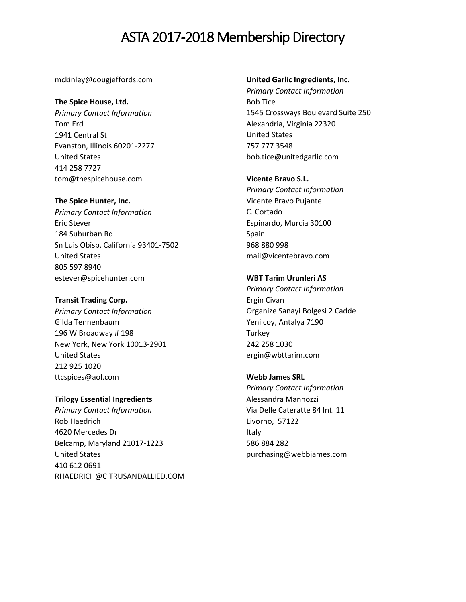mckinley@dougjeffords.com

# **The Spice House, Ltd.**

*Primary Contact Information* Tom Erd 1941 Central St Evanston, Illinois 60201-2277 United States 414 258 7727 tom@thespicehouse.com

# **The Spice Hunter, Inc.**

*Primary Contact Information* Eric Stever 184 Suburban Rd Sn Luis Obisp, California 93401-7502 United States 805 597 8940 estever@spicehunter.com

### **Transit Trading Corp.**

*Primary Contact Information* Gilda Tennenbaum 196 W Broadway # 198 New York, New York 10013-2901 United States 212 925 1020 ttcspices@aol.com

# **Trilogy Essential Ingredients**

*Primary Contact Information* Rob Haedrich 4620 Mercedes Dr Belcamp, Maryland 21017-1223 United States 410 612 0691 RHAEDRICH@CITRUSANDALLIED.COM

### **United Garlic Ingredients, Inc.**

*Primary Contact Information* Bob Tice 1545 Crossways Boulevard Suite 250 Alexandria, Virginia 22320 United States 757 777 3548 bob.tice@unitedgarlic.com

# **Vicente Bravo S.L.**

*Primary Contact Information* Vicente Bravo Pujante C. Cortado Espinardo, Murcia 30100 Spain 968 880 998 mail@vicentebravo.com

# **WBT Tarim Urunleri AS**

*Primary Contact Information* Ergin Civan Organize Sanayi Bolgesi 2 Cadde Yenilcoy, Antalya 7190 **Turkey** 242 258 1030 ergin@wbttarim.com

# **Webb James SRL**

*Primary Contact Information* Alessandra Mannozzi Via Delle Cateratte 84 Int. 11 Livorno, 57122 Italy 586 884 282 purchasing@webbjames.com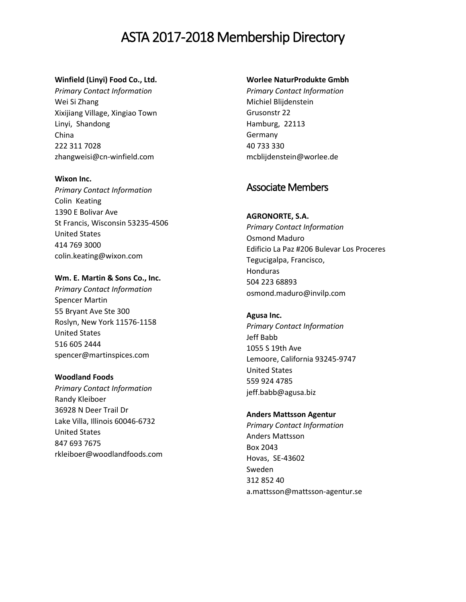# **Winfield (Linyi) Food Co., Ltd.**

*Primary Contact Information* Wei Si Zhang Xixijiang Village, Xingiao Town Linyi, Shandong China 222 311 7028 zhangweisi@cn-winfield.com

#### **Wixon Inc.**

*Primary Contact Information* Colin Keating 1390 E Bolivar Ave St Francis, Wisconsin 53235-4506 United States 414 769 3000 colin.keating@wixon.com

# **Wm. E. Martin & Sons Co., Inc.**

*Primary Contact Information* Spencer Martin 55 Bryant Ave Ste 300 Roslyn, New York 11576-1158 United States 516 605 2444 spencer@martinspices.com

# **Woodland Foods**

*Primary Contact Information* Randy Kleiboer 36928 N Deer Trail Dr Lake Villa, Illinois 60046-6732 United States 847 693 7675 rkleiboer@woodlandfoods.com

# **Worlee NaturProdukte Gmbh**

*Primary Contact Information* Michiel Blijdenstein Grusonstr 22 Hamburg, 22113 Germany 40 733 330 mcblijdenstein@worlee.de

# Associate Members

# **AGRONORTE, S.A.**

*Primary Contact Information* Osmond Maduro Edificio La Paz #206 Bulevar Los Proceres Tegucigalpa, Francisco, Honduras 504 223 68893 osmond.maduro@invilp.com

# **Agusa Inc.**

*Primary Contact Information* Jeff Babb 1055 S 19th Ave Lemoore, California 93245-9747 United States 559 924 4785 jeff.babb@agusa.biz

# **Anders Mattsson Agentur**

*Primary Contact Information* Anders Mattsson Box 2043 Hovas, SE-43602 Sweden 312 852 40 a.mattsson@mattsson-agentur.se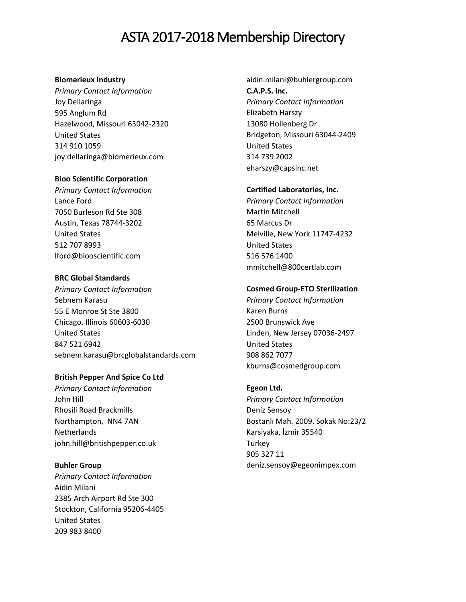# **Biomerieux Industry**

*Primary Contact Information* Joy Dellaringa 595 Anglum Rd Hazelwood, Missouri 63042-2320 United States 314 910 1059 joy.dellaringa@biomerieux.com

# **Bioo Scientific Corporation**

*Primary Contact Information* Lance Ford 7050 Burleson Rd Ste 308 Austin, Texas 78744-3202 United States 512 707 8993 lford@biooscientific.com

# **BRC Global Standards**

*Primary Contact Information* Sebnem Karasu 55 E Monroe St Ste 3800 Chicago, Illinois 60603-6030 United States 847 521 6942 sebnem.karasu@brcglobalstandards.com

#### **British Pepper And Spice Co Ltd**

*Primary Contact Information* John Hill Rhosili Road Brackmills Northampton, NN4 7AN **Netherlands** john.hill@britishpepper.co.uk

#### **Buhler Group**

*Primary Contact Information* Aidin Milani 2385 Arch Airport Rd Ste 300 Stockton, California 95206-4405 United States 209 983 8400

aidin.milani@buhlergroup.com **C.A.P.S. Inc.** *Primary Contact Information* Elizabeth Harszy 13080 Hollenberg Dr Bridgeton, Missouri 63044-2409 United States 314 739 2002 eharszy@capsinc.net

# **Certified Laboratories, Inc.**

*Primary Contact Information* Martin Mitchell 65 Marcus Dr Melville, New York 11747-4232 United States 516 576 1400 mmitchell@800certlab.com

# **Cosmed Group-ETO Sterilization**

*Primary Contact Information* Karen Burns 2500 Brunswick Ave Linden, New Jersey 07036-2497 United States 908 862 7077 kburns@cosmedgroup.com

# **Egeon Ltd.**

*Primary Contact Information* Deniz Sensoy Bostanlı Mah. 2009. Sokak No:23/2 Karsiyaka, İzmir 35540 **Turkey** 905 327 11 deniz.sensoy@egeonimpex.com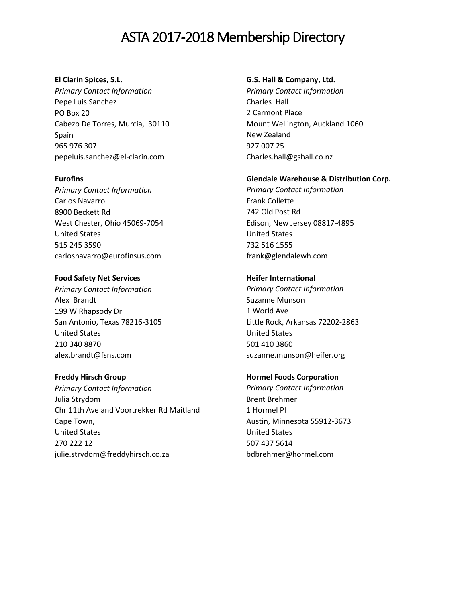# **El Clarin Spices, S.L.**  *Primary Contact Information* Pepe Luis Sanchez PO Box 20 Cabezo De Torres, Murcia, 30110 Spain 965 976 307 pepeluis.sanchez@el-clarin.com

**Eurofins** *Primary Contact Information* Carlos Navarro 8900 Beckett Rd West Chester, Ohio 45069-7054 United States 515 245 3590 carlosnavarro@eurofinsus.com

# **Food Safety Net Services**

*Primary Contact Information* Alex Brandt 199 W Rhapsody Dr San Antonio, Texas 78216-3105 United States 210 340 8870 alex.brandt@fsns.com

#### **Freddy Hirsch Group**

*Primary Contact Information* Julia Strydom Chr 11th Ave and Voortrekker Rd Maitland Cape Town, United States 270 222 12 julie.strydom@freddyhirsch.co.za

#### **G.S. Hall & Company, Ltd.**

*Primary Contact Information* Charles Hall 2 Carmont Place Mount Wellington, Auckland 1060 New Zealand 927 007 25 Charles.hall@gshall.co.nz

#### **Glendale Warehouse & Distribution Corp.**

*Primary Contact Information* Frank Collette 742 Old Post Rd Edison, New Jersey 08817-4895 United States 732 516 1555 frank@glendalewh.com

#### **Heifer International**

*Primary Contact Information* Suzanne Munson 1 World Ave Little Rock, Arkansas 72202-2863 United States 501 410 3860 suzanne.munson@heifer.org

#### **Hormel Foods Corporation**

*Primary Contact Information* Brent Brehmer 1 Hormel Pl Austin, Minnesota 55912-3673 United States 507 437 5614 bdbrehmer@hormel.com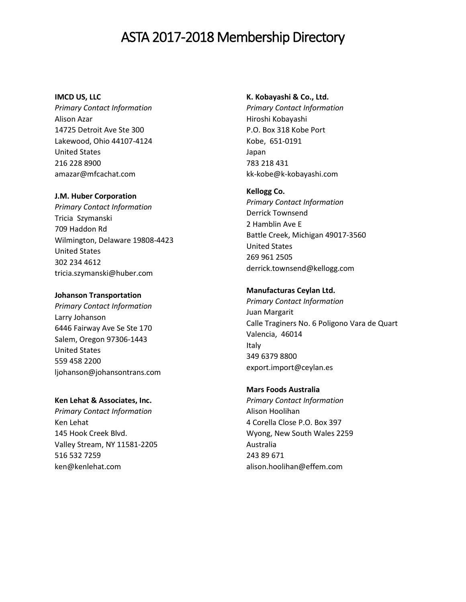#### **IMCD US, LLC**

*Primary Contact Information* Alison Azar 14725 Detroit Ave Ste 300 Lakewood, Ohio 44107-4124 United States 216 228 8900 amazar@mfcachat.com

#### **J.M. Huber Corporation**

*Primary Contact Information* Tricia Szymanski 709 Haddon Rd Wilmington, Delaware 19808-4423 United States 302 234 4612 tricia.szymanski@huber.com

#### **Johanson Transportation**

*Primary Contact Information* Larry Johanson 6446 Fairway Ave Se Ste 170 Salem, Oregon 97306-1443 United States 559 458 2200 [ljohanson@johansontrans.com](mailto:ljohanson@johansontrans.com)

#### **Ken Lehat & Associates, Inc.**

*Primary Contact Information* Ken Lehat 145 Hook Creek Blvd. Valley Stream, NY 11581-2205 516 532 7259 ken@kenlehat.com

#### **K. Kobayashi & Co., Ltd.**

*Primary Contact Information* Hiroshi Kobayashi P.O. Box 318 Kobe Port Kobe, 651-0191 Japan 783 218 431 kk-kobe@k-kobayashi.com

#### **Kellogg Co.**

*Primary Contact Information* Derrick Townsend 2 Hamblin Ave E Battle Creek, Michigan 49017-3560 United States 269 961 2505 derrick.townsend@kellogg.com

# **Manufacturas Ceylan Ltd.**

*Primary Contact Information* Juan Margarit Calle Traginers No. 6 Poligono Vara de Quart Valencia, 46014 Italy 349 6379 8800 export.import@ceylan.es

#### **Mars Foods Australia**

*Primary Contact Information* Alison Hoolihan 4 Corella Close P.O. Box 397 Wyong, New South Wales 2259 Australia 243 89 671 alison.hoolihan@effem.com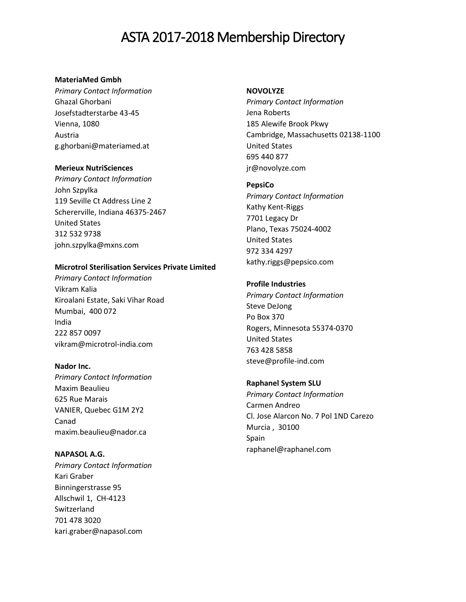#### **MateriaMed Gmbh**

*Primary Contact Information* Ghazal Ghorbani Josefstadterstarbe 43-45 Vienna, 1080 Austria g.ghorbani@materiamed.at

# **Merieux NutriSciences**

*Primary Contact Information* John Szpylka 119 Seville Ct Address Line 2 Schererville, Indiana 46375-2467 United States 312 532 9738 john.szpylka@mxns.com

#### **Microtrol Sterilisation Services Private Limited**

*Primary Contact Information* Vikram Kalia Kiroalani Estate, Saki Vihar Road Mumbai, 400 072 India 222 857 0097 vikram@microtrol-india.com

#### **Nador Inc.**

*Primary Contact Information* Maxim Beaulieu 625 Rue Marais VANIER, Quebec G1M 2Y2 Canad maxim.beaulieu@nador.ca

**NAPASOL A.G.** *Primary Contact Information* Kari Graber Binningerstrasse 95 Allschwil 1, CH-4123 Switzerland 701 478 3020 kari.graber@napasol.com

#### **NOVOLYZE**

*Primary Contact Information* Jena Roberts 185 Alewife Brook Pkwy Cambridge, Massachusetts 02138-1100 United States 695 440 877 jr@novolyze.com

# **PepsiCo**

*Primary Contact Information* Kathy Kent-Riggs 7701 Legacy Dr Plano, Texas 75024-4002 United States 972 334 4297 kathy.riggs@pepsico.com

# **Profile Industries**

*Primary Contact Information* Steve DeJong Po Box 370 Rogers, Minnesota 55374-0370 United States 763 428 5858 steve@profile-ind.com

**Raphanel System SLU**  *Primary Contact Information* Carmen Andreo Cl. Jose Alarcon No. 7 Pol 1ND Carezo Murcia , 30100 Spain raphanel@raphanel.com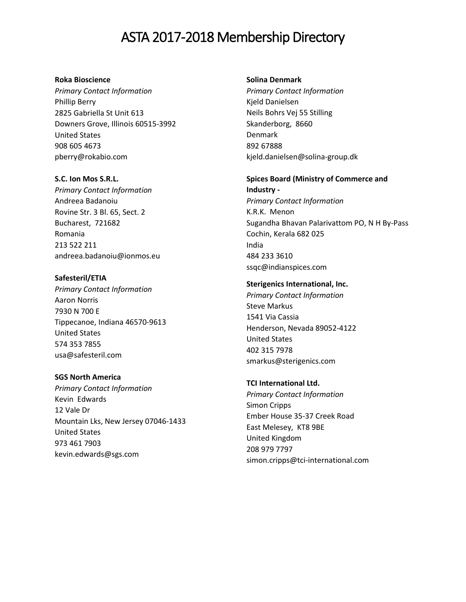#### **Roka Bioscience**

*Primary Contact Information* Phillip Berry 2825 Gabriella St Unit 613 Downers Grove, Illinois 60515-3992 United States 908 605 4673 pberry@rokabio.com

**S.C. Ion Mos S.R.L.** *Primary Contact Information* Andreea Badanoiu Rovine Str. 3 Bl. 65, Sect. 2 Bucharest, 721682 Romania 213 522 211 andreea.badanoiu@ionmos.eu

**Safesteril/ETIA** *Primary Contact Information* Aaron Norris 7930 N 700 E Tippecanoe, Indiana 46570-9613 United States 574 353 7855 usa@safesteril.com

# **SGS North America**

*Primary Contact Information* Kevin Edwards 12 Vale Dr Mountain Lks, New Jersey 07046-1433 United States 973 461 7903 kevin.edwards@sgs.com

#### **Solina Denmark**

*Primary Contact Information* Kjeld Danielsen Neils Bohrs Vej 55 Stilling Skanderborg, 8660 Denmark 892 67888 kjeld.danielsen@solina-group.dk

# **Spices Board (Ministry of Commerce and Industry -**

*Primary Contact Information* K.R.K. Menon Sugandha Bhavan Palarivattom PO, N H By-Pass Cochin, Kerala 682 025 India 484 233 3610 ssqc@indianspices.com

# **Sterigenics International, Inc.**

*Primary Contact Information* Steve Markus 1541 Via Cassia Henderson, Nevada 89052-4122 United States 402 315 7978 smarkus@sterigenics.com

# **TCI International Ltd.**

*Primary Contact Information* Simon Cripps Ember House 35-37 Creek Road East Melesey, KT8 9BE United Kingdom 208 979 7797 simon.cripps@tci-international.com